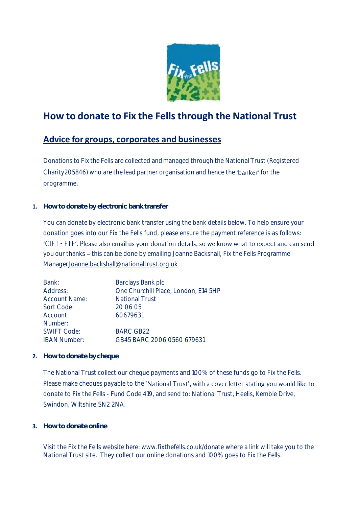

## **How to donate to Fix the Fells through the National Trust**

## **Advice for groups, corporates and businesses**

Donations to Fix the Fells are collected and managed through the National Trust (Registered Charity205846) who are the lead partner organisation and hence the 'banker' for the programme.

**1. How to donate by electronic bank transfer**

You can donate by electronic bank transfer using the bank details below. To help ensure your donation goes into our Fix the Fells fund, please ensure the payment reference is as follows: 'GIFT - FTF'. Please also email us your donation details, so we know what to expect and can send you our thanks - this can be done by emailing Joanne Backshall, Fix the Fells Programme Manage[rJoanne.backshall@nationaltrust.org.uk](mailto:Joanne.backshall@nationaltrust.org.uk)

| Bank:                | Barclays Bank plc                    |
|----------------------|--------------------------------------|
| Address:             | One Churchill Place, London, E14 5HP |
| <b>Account Name:</b> | <b>National Trust</b>                |
| Sort Code:           | 20 06 05                             |
| Account              | 60679631                             |
| Number:              |                                      |
| <b>SWIFT Code:</b>   | <b>BARC GB22</b>                     |
| <b>IBAN Number:</b>  | GB45 BARC 2006 0560 679631           |
|                      |                                      |

**2. How to donate by cheque**

The National Trust collect our cheque payments and 100% of these funds go to Fix the Fells. Please make cheques payable to the 'National Trust', with a cover letter stating you would like to donate to Fix the Fells - Fund Code 419, and send to: National Trust, Heelis, Kemble Drive, Swindon, Wiltshire,SN2 2NA.

**3. How to donate online**

Visit the Fix the Fells website here: [www.fixthefells.co.uk/donate](http://www.fixthefells.co.uk/donate) where a link will take you to the National Trust site. They collect our online donations and 100% goes to Fix the Fells.